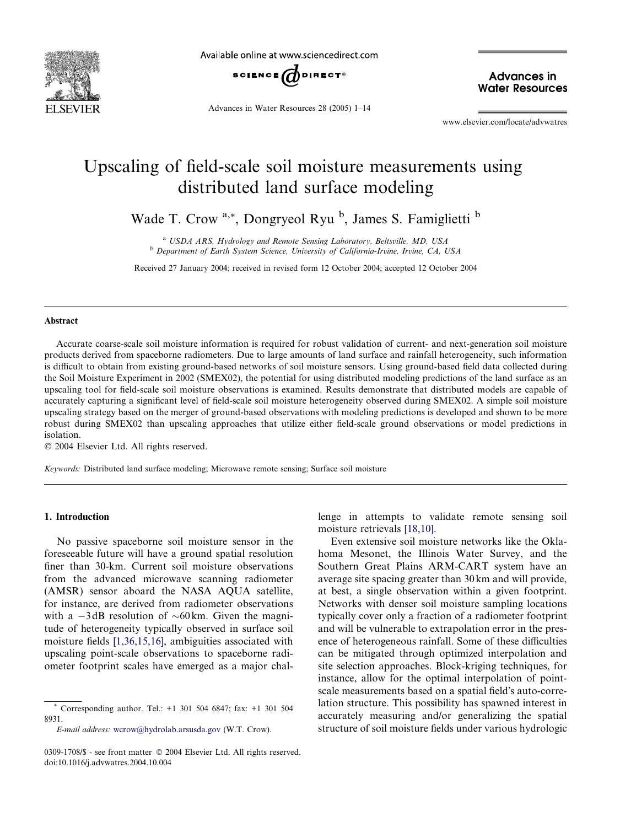

Available online at www.sciencedirect.com



Advances in Water Resources 28 (2005) 1–14

**Advances in Water Resources** 

www.elsevier.com/locate/advwatres

# Upscaling of field-scale soil moisture measurements using distributed land surface modeling

Wade T. Crow<sup>a,\*</sup>, Dongryeol Ryu<sup>b</sup>, James S. Famiglietti<sup>b</sup>

<sup>a</sup> USDA ARS, Hydrology and Remote Sensing Laboratory, Beltsville, MD, USA <sup>b</sup> Department of Earth System Science, University of California-Irvine, Irvine, CA, USA

Received 27 January 2004; received in revised form 12 October 2004; accepted 12 October 2004

#### Abstract

Accurate coarse-scale soil moisture information is required for robust validation of current- and next-generation soil moisture products derived from spaceborne radiometers. Due to large amounts of land surface and rainfall heterogeneity, such information is difficult to obtain from existing ground-based networks of soil moisture sensors. Using ground-based field data collected during the Soil Moisture Experiment in 2002 (SMEX02), the potential for using distributed modeling predictions of the land surface as an upscaling tool for field-scale soil moisture observations is examined. Results demonstrate that distributed models are capable of accurately capturing a significant level of field-scale soil moisture heterogeneity observed during SMEX02. A simple soil moisture upscaling strategy based on the merger of ground-based observations with modeling predictions is developed and shown to be more robust during SMEX02 than upscaling approaches that utilize either field-scale ground observations or model predictions in isolation.

2004 Elsevier Ltd. All rights reserved.

Keywords: Distributed land surface modeling; Microwave remote sensing; Surface soil moisture

#### 1. Introduction

No passive spaceborne soil moisture sensor in the foreseeable future will have a ground spatial resolution finer than 30-km. Current soil moisture observations from the advanced microwave scanning radiometer (AMSR) sensor aboard the NASA AQUA satellite, for instance, are derived from radiometer observations with a  $-3$  dB resolution of  $\sim 60$  km. Given the magnitude of heterogeneity typically observed in surface soil moisture fields [\[1,36,15,16\]](#page-12-0), ambiguities associated with upscaling point-scale observations to spaceborne radiometer footprint scales have emerged as a major chal-

E-mail address: [wcrow@hydrolab.arsusda.gov](mailto:wcrow@hydrolab.arsusda.gov ) (W.T. Crow).

lenge in attempts to validate remote sensing soil moisture retrievals [\[18,10\].](#page-13-0)

Even extensive soil moisture networks like the Oklahoma Mesonet, the Illinois Water Survey, and the Southern Great Plains ARM-CART system have an average site spacing greater than 30 km and will provide, at best, a single observation within a given footprint. Networks with denser soil moisture sampling locations typically cover only a fraction of a radiometer footprint and will be vulnerable to extrapolation error in the presence of heterogeneous rainfall. Some of these difficulties can be mitigated through optimized interpolation and site selection approaches. Block-kriging techniques, for instance, allow for the optimal interpolation of pointscale measurements based on a spatial field's auto-correlation structure. This possibility has spawned interest in accurately measuring and/or generalizing the spatial structure of soil moisture fields under various hydrologic

<sup>\*</sup> Corresponding author. Tel.: +1 301 504 6847; fax: +1 301 504 8931.

<sup>0309-1708/\$ -</sup> see front matter © 2004 Elsevier Ltd. All rights reserved. doi:10.1016/j.advwatres.2004.10.004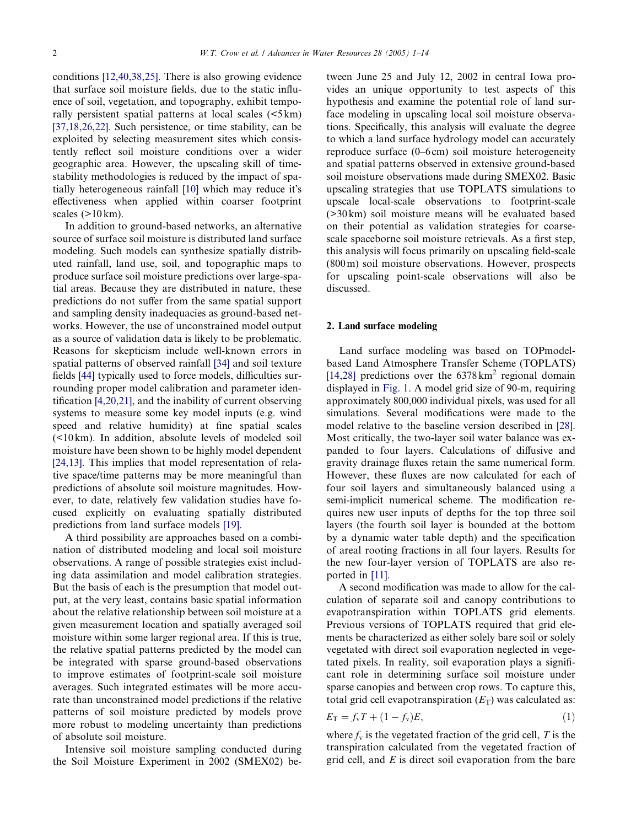conditions [\[12,40,38,25\].](#page-13-0) There is also growing evidence that surface soil moisture fields, due to the static influence of soil, vegetation, and topography, exhibit temporally persistent spatial patterns at local scales  $\leq 5 \text{ km}$ ) [\[37,18,26,22\]](#page-13-0). Such persistence, or time stability, can be exploited by selecting measurement sites which consistently reflect soil moisture conditions over a wider geographic area. However, the upscaling skill of timestability methodologies is reduced by the impact of spa-tially heterogeneous rainfall [\[10\]](#page-13-0) which may reduce it's effectiveness when applied within coarser footprint scales  $(>10 \,\mathrm{km})$ .

In addition to ground-based networks, an alternative source of surface soil moisture is distributed land surface modeling. Such models can synthesize spatially distributed rainfall, land use, soil, and topographic maps to produce surface soil moisture predictions over large-spatial areas. Because they are distributed in nature, these predictions do not suffer from the same spatial support and sampling density inadequacies as ground-based networks. However, the use of unconstrained model output as a source of validation data is likely to be problematic. Reasons for skepticism include well-known errors in spatial patterns of observed rainfall [\[34\]](#page-13-0) and soil texture fields [\[44\]](#page-13-0) typically used to force models, difficulties surrounding proper model calibration and parameter identification [\[4,20,21\],](#page-12-0) and the inability of current observing systems to measure some key model inputs (e.g. wind speed and relative humidity) at fine spatial scales  $(<10 \text{ km})$ . In addition, absolute levels of modeled soil moisture have been shown to be highly model dependent [\[24,13\].](#page-13-0) This implies that model representation of relative space/time patterns may be more meaningful than predictions of absolute soil moisture magnitudes. However, to date, relatively few validation studies have focused explicitly on evaluating spatially distributed predictions from land surface models [\[19\].](#page-13-0)

A third possibility are approaches based on a combination of distributed modeling and local soil moisture observations. A range of possible strategies exist including data assimilation and model calibration strategies. But the basis of each is the presumption that model output, at the very least, contains basic spatial information about the relative relationship between soil moisture at a given measurement location and spatially averaged soil moisture within some larger regional area. If this is true, the relative spatial patterns predicted by the model can be integrated with sparse ground-based observations to improve estimates of footprint-scale soil moisture averages. Such integrated estimates will be more accurate than unconstrained model predictions if the relative patterns of soil moisture predicted by models prove more robust to modeling uncertainty than predictions of absolute soil moisture.

Intensive soil moisture sampling conducted during the Soil Moisture Experiment in 2002 (SMEX02) between June 25 and July 12, 2002 in central Iowa provides an unique opportunity to test aspects of this hypothesis and examine the potential role of land surface modeling in upscaling local soil moisture observations. Specifically, this analysis will evaluate the degree to which a land surface hydrology model can accurately reproduce surface (0–6 cm) soil moisture heterogeneity and spatial patterns observed in extensive ground-based soil moisture observations made during SMEX02. Basic upscaling strategies that use TOPLATS simulations to upscale local-scale observations to footprint-scale (>30 km) soil moisture means will be evaluated based on their potential as validation strategies for coarsescale spaceborne soil moisture retrievals. As a first step, this analysis will focus primarily on upscaling field-scale (800m) soil moisture observations. However, prospects for upscaling point-scale observations will also be discussed.

#### 2. Land surface modeling

Land surface modeling was based on TOPmodelbased Land Atmosphere Transfer Scheme (TOPLATS) [\[14,28\]](#page-13-0) predictions over the  $6378 \text{ km}^2$  regional domain displayed in [Fig. 1](#page-2-0). A model grid size of 90-m, requiring approximately 800,000 individual pixels, was used for all simulations. Several modifications were made to the model relative to the baseline version described in [\[28\]](#page-13-0). Most critically, the two-layer soil water balance was expanded to four layers. Calculations of diffusive and gravity drainage fluxes retain the same numerical form. However, these fluxes are now calculated for each of four soil layers and simultaneously balanced using a semi-implicit numerical scheme. The modification requires new user inputs of depths for the top three soil layers (the fourth soil layer is bounded at the bottom by a dynamic water table depth) and the specification of areal rooting fractions in all four layers. Results for the new four-layer version of TOPLATS are also reported in [\[11\].](#page-13-0)

A second modification was made to allow for the calculation of separate soil and canopy contributions to evapotranspiration within TOPLATS grid elements. Previous versions of TOPLATS required that grid elements be characterized as either solely bare soil or solely vegetated with direct soil evaporation neglected in vegetated pixels. In reality, soil evaporation plays a significant role in determining surface soil moisture under sparse canopies and between crop rows. To capture this, total grid cell evapotranspiration  $(E_T)$  was calculated as:

$$
E_{\rm T} = f_{\rm v} T + (1 - f_{\rm v}) E, \tag{1}
$$

where  $f_v$  is the vegetated fraction of the grid cell, T is the transpiration calculated from the vegetated fraction of grid cell, and  $E$  is direct soil evaporation from the bare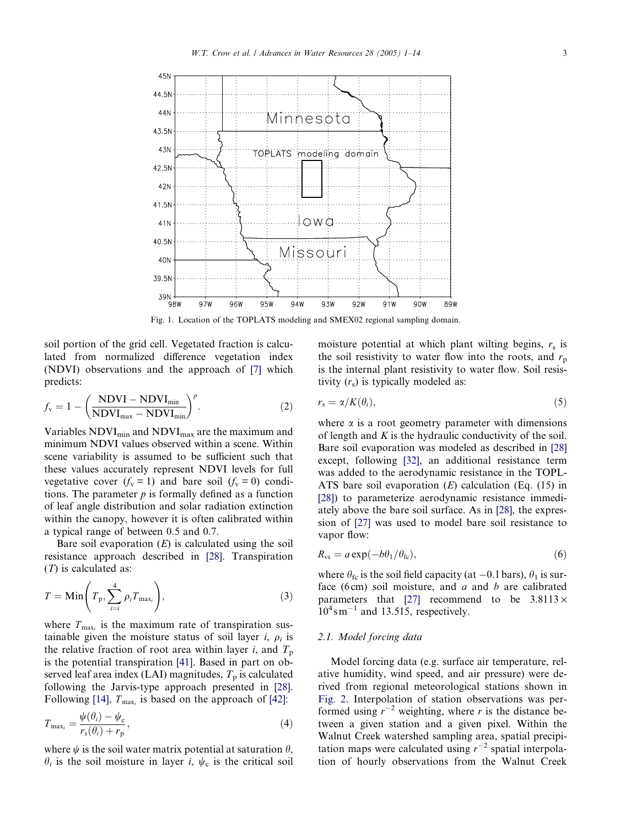<span id="page-2-0"></span>

Fig. 1. Location of the TOPLATS modeling and SMEX02 regional sampling domain.

soil portion of the grid cell. Vegetated fraction is calculated from normalized difference vegetation index (NDVI) observations and the approach of [\[7\]](#page-13-0) which predicts:

$$
f_{\rm v} = 1 - \left(\frac{\rm NDVI - NDVI_{\rm min}}{\rm NDVI_{\rm max} - NDVI_{\rm min}}\right)^p.
$$
 (2)

Variables  $NDVI_{min}$  and  $NDVI_{max}$  are the maximum and minimum NDVI values observed within a scene. Within scene variability is assumed to be sufficient such that these values accurately represent NDVI levels for full vegetative cover  $(f_v = 1)$  and bare soil  $(f_v = 0)$  conditions. The parameter  $p$  is formally defined as a function of leaf angle distribution and solar radiation extinction within the canopy, however it is often calibrated within a typical range of between 0.5 and 0.7.

Bare soil evaporation  $(E)$  is calculated using the soil resistance approach described in [\[28\].](#page-13-0) Transpiration  $(T)$  is calculated as:

$$
T = \min\left(T_{\text{p}}, \sum_{i=i}^{4} \rho_i T_{\text{max}_i}\right),\tag{3}
$$

where  $T_{\text{max}}$  is the maximum rate of transpiration sustainable given the moisture status of soil layer i,  $\rho_i$  is the relative fraction of root area within layer *i*, and  $T_p$ is the potential transpiration [\[41\]](#page-13-0). Based in part on observed leaf area index (LAI) magnitudes,  $T_p$  is calculated following the Jarvis-type approach presented in [\[28\].](#page-13-0) Following [\[14\],](#page-13-0)  $T_{\text{max}}$  is based on the approach of [\[42\]](#page-13-0):

$$
T_{\max_i} = \frac{\psi(\theta_i) - \psi_c}{r_s(\theta_i) + r_p},\tag{4}
$$

where  $\psi$  is the soil water matrix potential at saturation  $\theta$ ,  $\theta_i$  is the soil moisture in layer i,  $\psi_c$  is the critical soil moisture potential at which plant wilting begins,  $r<sub>s</sub>$  is the soil resistivity to water flow into the roots, and  $r_p$ is the internal plant resistivity to water flow. Soil resistivity  $(r<sub>s</sub>)$  is typically modeled as:

$$
r_{\rm s} = \alpha/K(\theta_i),\tag{5}
$$

where  $\alpha$  is a root geometry parameter with dimensions of length and  $K$  is the hydraulic conductivity of the soil. Bare soil evaporation was modeled as described in [\[28\]](#page-13-0) except, following [\[32\],](#page-13-0) an additional resistance term was added to the aerodynamic resistance in the TOPL-ATS bare soil evaporation  $(E)$  calculation (Eq. (15) in [\[28\]\)](#page-13-0) to parameterize aerodynamic resistance immediately above the bare soil surface. As in [\[28\],](#page-13-0) the expression of [\[27\]](#page-13-0) was used to model bare soil resistance to vapor flow:

$$
R_{\rm vs} = a \exp(-b\theta_1/\theta_{\rm fc}),\tag{6}
$$

where  $\theta_{\text{fc}}$  is the soil field capacity (at  $-0.1$  bars),  $\theta_1$  is surface (6cm) soil moisture, and  $a$  and  $b$  are calibrated parameters that [\[27\]](#page-13-0) recommend to be  $3.8113 \times$  $10^4$ s m<sup>-1</sup> and 13.515, respectively.

# 2.1. Model forcing data

Model forcing data (e.g. surface air temperature, relative humidity, wind speed, and air pressure) were derived from regional meteorological stations shown in [Fig. 2](#page-3-0). Interpolation of station observations was performed using  $r^{-2}$  weighting, where r is the distance between a given station and a given pixel. Within the Walnut Creek watershed sampling area, spatial precipitation maps were calculated using  $r^{-2}$  spatial interpolation of hourly observations from the Walnut Creek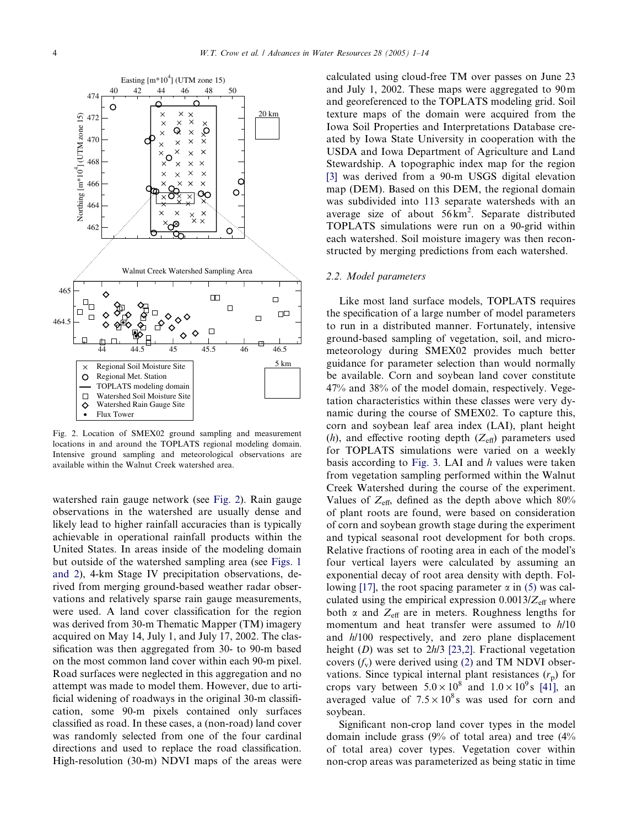<span id="page-3-0"></span>

Fig. 2. Location of SMEX02 ground sampling and measurement locations in and around the TOPLATS regional modeling domain. Intensive ground sampling and meteorological observations are available within the Walnut Creek watershed area.

watershed rain gauge network (see Fig. 2). Rain gauge observations in the watershed are usually dense and likely lead to higher rainfall accuracies than is typically achievable in operational rainfall products within the United States. In areas inside of the modeling domain but outside of the watershed sampling area (see [Figs. 1](#page-2-0) [and 2](#page-2-0)), 4-km Stage IV precipitation observations, derived from merging ground-based weather radar observations and relatively sparse rain gauge measurements, were used. A land cover classification for the region was derived from 30-m Thematic Mapper (TM) imagery acquired on May 14, July 1, and July 17, 2002. The classification was then aggregated from 30- to 90-m based on the most common land cover within each 90-m pixel. Road surfaces were neglected in this aggregation and no attempt was made to model them. However, due to artificial widening of roadways in the original 30-m classification, some 90-m pixels contained only surfaces classified as road. In these cases, a (non-road) land cover was randomly selected from one of the four cardinal directions and used to replace the road classification. High-resolution (30-m) NDVI maps of the areas were calculated using cloud-free TM over passes on June 23 and July 1, 2002. These maps were aggregated to 90m and georeferenced to the TOPLATS modeling grid. Soil texture maps of the domain were acquired from the Iowa Soil Properties and Interpretations Database created by Iowa State University in cooperation with the USDA and Iowa Department of Agriculture and Land Stewardship. A topographic index map for the region [\[3\]](#page-12-0) was derived from a 90-m USGS digital elevation map (DEM). Based on this DEM, the regional domain was subdivided into 113 separate watersheds with an average size of about  $56 \text{ km}^2$ . Separate distributed TOPLATS simulations were run on a 90-grid within each watershed. Soil moisture imagery was then reconstructed by merging predictions from each watershed.

### 2.2. Model parameters

Like most land surface models, TOPLATS requires the specification of a large number of model parameters to run in a distributed manner. Fortunately, intensive ground-based sampling of vegetation, soil, and micrometeorology during SMEX02 provides much better guidance for parameter selection than would normally be available. Corn and soybean land cover constitute 47% and 38% of the model domain, respectively. Vegetation characteristics within these classes were very dynamic during the course of SMEX02. To capture this, corn and soybean leaf area index (LAI), plant height (h), and effective rooting depth  $(Z_{\text{eff}})$  parameters used for TOPLATS simulations were varied on a weekly basis according to [Fig. 3.](#page-4-0) LAI and  $h$  values were taken from vegetation sampling performed within the Walnut Creek Watershed during the course of the experiment. Values of  $Z_{\text{eff}}$ , defined as the depth above which 80% of plant roots are found, were based on consideration of corn and soybean growth stage during the experiment and typical seasonal root development for both crops. Relative fractions of rooting area in each of the model's four vertical layers were calculated by assuming an exponential decay of root area density with depth. Fol-lowing [\[17\],](#page-13-0) the root spacing parameter  $\alpha$  in [\(5\)](#page-2-0) was calculated using the empirical expression  $0.0013/Z<sub>eff</sub>$  where both  $\alpha$  and  $Z_{\text{eff}}$  are in meters. Roughness lengths for momentum and heat transfer were assumed to  $h/10$ and h/100 respectively, and zero plane displacement height  $(D)$  was set to  $2h/3$  [\[23,2\].](#page-13-0) Fractional vegetation covers  $(f_v)$  were derived using [\(2\)](#page-2-0) and TM NDVI observations. Since typical internal plant resistances  $(r_p)$  for crops vary between  $5.0 \times 10^8$  and  $1.0 \times 10^9$  s [\[41\],](#page-13-0) an averaged value of  $7.5 \times 10^8$ s was used for corn and soybean.

Significant non-crop land cover types in the model domain include grass (9% of total area) and tree (4% of total area) cover types. Vegetation cover within non-crop areas was parameterized as being static in time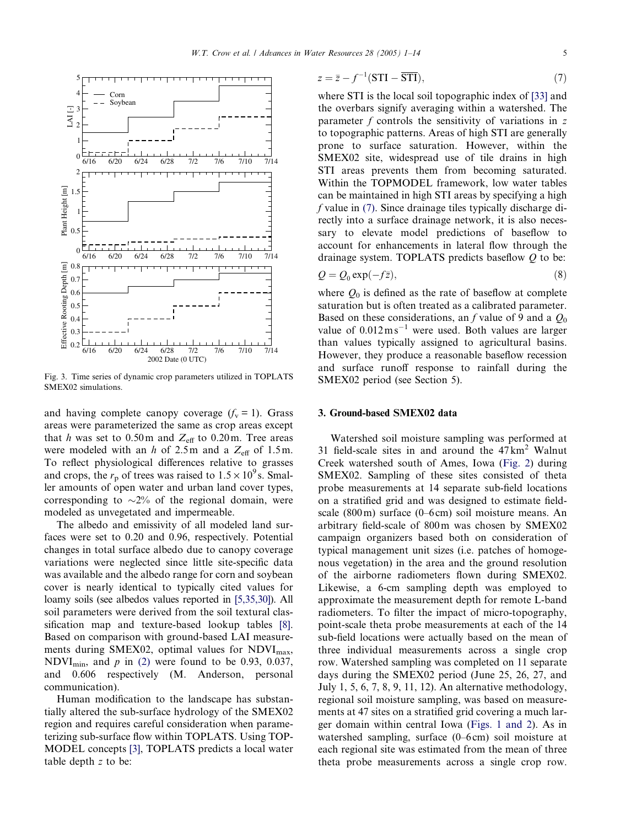<span id="page-4-0"></span>

Fig. 3. Time series of dynamic crop parameters utilized in TOPLATS SMEX02 simulations.

and having complete canopy coverage  $(f_v = 1)$ . Grass areas were parameterized the same as crop areas except that h was set to 0.50m and  $Z_{\text{eff}}$  to 0.20m. Tree areas were modeled with an  $h$  of 2.5m and a  $Z_{\text{eff}}$  of 1.5m. To reflect physiological differences relative to grasses and crops, the  $r_p$  of trees was raised to  $1.5 \times 10^9$  s. Smaller amounts of open water and urban land cover types, corresponding to  $\sim$ 2% of the regional domain, were modeled as unvegetated and impermeable.

The albedo and emissivity of all modeled land surfaces were set to 0.20 and 0.96, respectively. Potential changes in total surface albedo due to canopy coverage variations were neglected since little site-specific data was available and the albedo range for corn and soybean cover is nearly identical to typically cited values for loamy soils (see albedos values reported in [\[5,35,30\]\)](#page-12-0). All soil parameters were derived from the soil textural classification map and texture-based lookup tables [\[8\].](#page-13-0) Based on comparison with ground-based LAI measurements during SMEX02, optimal values for  $NDVI<sub>max</sub>$ , NDVI<sub>min</sub>, and  $p$  in [\(2\)](#page-2-0) were found to be 0.93, 0.037, and 0.606 respectively (M. Anderson, personal communication).

Human modification to the landscape has substantially altered the sub-surface hydrology of the SMEX02 region and requires careful consideration when parameterizing sub-surface flow within TOPLATS. Using TOP-MODEL concepts [\[3\],](#page-12-0) TOPLATS predicts a local water table depth z to be:

$$
z = \bar{z} - f^{-1}(\text{STI} - \overline{\text{STI}}),\tag{7}
$$

where STI is the local soil topographic index of [\[33\]](#page-13-0) and the overbars signify averaging within a watershed. The parameter f controls the sensitivity of variations in  $z$ to topographic patterns. Areas of high STI are generally prone to surface saturation. However, within the SMEX02 site, widespread use of tile drains in high STI areas prevents them from becoming saturated. Within the TOPMODEL framework, low water tables can be maintained in high STI areas by specifying a high f value in (7). Since drainage tiles typically discharge directly into a surface drainage network, it is also necessary to elevate model predictions of baseflow to account for enhancements in lateral flow through the drainage system. TOPLATS predicts baseflow  $Q$  to be:

$$
Q = Q_0 \exp(-f\overline{z}),\tag{8}
$$

where  $Q_0$  is defined as the rate of baseflow at complete saturation but is often treated as a calibrated parameter. Based on these considerations, an f value of 9 and a  $Q_0$ value of  $0.012 \text{m s}^{-1}$  were used. Both values are larger than values typically assigned to agricultural basins. However, they produce a reasonable baseflow recession and surface runoff response to rainfall during the SMEX02 period (see Section 5).

#### 3. Ground-based SMEX02 data

Watershed soil moisture sampling was performed at 31 field-scale sites in and around the  $47 \text{ km}^2$  Walnut Creek watershed south of Ames, Iowa ([Fig. 2](#page-3-0)) during SMEX02. Sampling of these sites consisted of theta probe measurements at 14 separate sub-field locations on a stratified grid and was designed to estimate fieldscale  $(800 \text{ m})$  surface  $(0-6 \text{ cm})$  soil moisture means. An arbitrary field-scale of 800m was chosen by SMEX02 campaign organizers based both on consideration of typical management unit sizes (i.e. patches of homogenous vegetation) in the area and the ground resolution of the airborne radiometers flown during SMEX02. Likewise, a 6-cm sampling depth was employed to approximate the measurement depth for remote L-band radiometers. To filter the impact of micro-topography, point-scale theta probe measurements at each of the 14 sub-field locations were actually based on the mean of three individual measurements across a single crop row. Watershed sampling was completed on 11 separate days during the SMEX02 period (June 25, 26, 27, and July 1, 5, 6, 7, 8, 9, 11, 12). An alternative methodology, regional soil moisture sampling, was based on measurements at 47 sites on a stratified grid covering a much larger domain within central Iowa ([Figs. 1 and 2\)](#page-2-0). As in watershed sampling, surface (0–6 cm) soil moisture at each regional site was estimated from the mean of three theta probe measurements across a single crop row.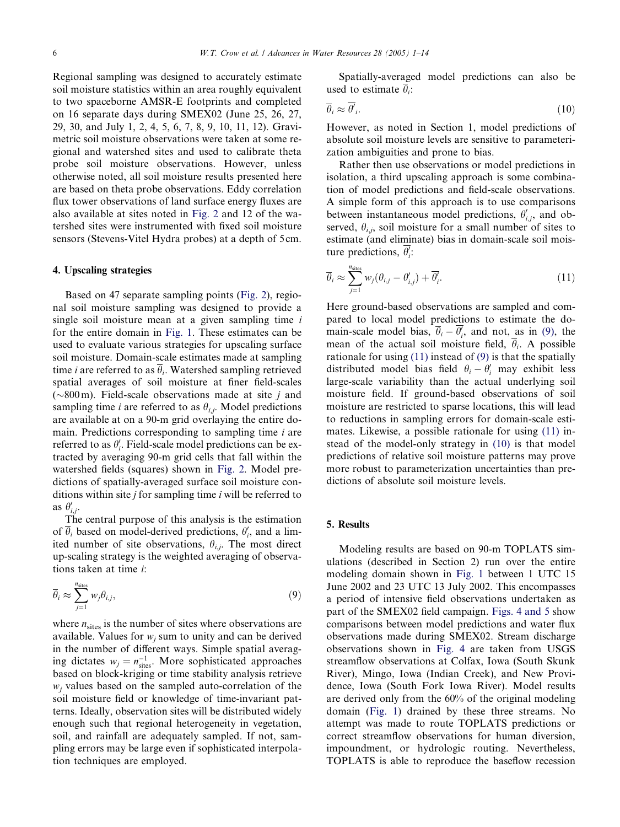<span id="page-5-0"></span>Regional sampling was designed to accurately estimate soil moisture statistics within an area roughly equivalent to two spaceborne AMSR-E footprints and completed on 16 separate days during SMEX02 (June 25, 26, 27, 29, 30, and July 1, 2, 4, 5, 6, 7, 8, 9, 10, 11, 12). Gravimetric soil moisture observations were taken at some regional and watershed sites and used to calibrate theta probe soil moisture observations. However, unless otherwise noted, all soil moisture results presented here are based on theta probe observations. Eddy correlation flux tower observations of land surface energy fluxes are also available at sites noted in [Fig. 2](#page-3-0) and 12 of the watershed sites were instrumented with fixed soil moisture sensors (Stevens-Vitel Hydra probes) at a depth of 5 cm.

#### 4. Upscaling strategies

Based on 47 separate sampling points ([Fig. 2\)](#page-3-0), regional soil moisture sampling was designed to provide a single soil moisture mean at a given sampling time  $i$ for the entire domain in [Fig. 1](#page-2-0). These estimates can be used to evaluate various strategies for upscaling surface soil moisture. Domain-scale estimates made at sampling time *i* are referred to as  $\overline{\theta}_i$ . Watershed sampling retrieved spatial averages of soil moisture at finer field-scales  $(\sim 800 \,\text{m})$ . Field-scale observations made at site j and sampling time *i* are referred to as  $\theta_{i,j}$ . Model predictions are available at on a 90-m grid overlaying the entire domain. Predictions corresponding to sampling time i are referred to as  $\theta_i'$ . Field-scale model predictions can be extracted by averaging 90-m grid cells that fall within the watershed fields (squares) shown in [Fig. 2](#page-3-0). Model predictions of spatially-averaged surface soil moisture conditions within site  $j$  for sampling time  $i$  will be referred to as  $\theta'_{i,j}$ .

The central purpose of this analysis is the estimation of  $\overline{\theta}_i$  based on model-derived predictions,  $\theta'_i$ , and a limited number of site observations,  $\theta_{i,j}$ . The most direct up-scaling strategy is the weighted averaging of observations taken at time i:

$$
\overline{\theta}_i \approx \sum_{j=1}^{n_{\text{sites}}} w_j \theta_{i,j},\tag{9}
$$

where  $n<sub>sites</sub>$  is the number of sites where observations are available. Values for  $w_i$  sum to unity and can be derived in the number of different ways. Simple spatial averaging dictates  $w_j = n_{\text{sites}}^{-1}$ . More sophisticated approaches based on block-kriging or time stability analysis retrieve  $w_i$  values based on the sampled auto-correlation of the soil moisture field or knowledge of time-invariant patterns. Ideally, observation sites will be distributed widely enough such that regional heterogeneity in vegetation, soil, and rainfall are adequately sampled. If not, sampling errors may be large even if sophisticated interpolation techniques are employed.

Spatially-averaged model predictions can also be used to estimate  $\overline{\theta}$ .

$$
\overline{\theta}_i \approx \overline{\theta'}_i. \tag{10}
$$

However, as noted in Section 1, model predictions of absolute soil moisture levels are sensitive to parameterization ambiguities and prone to bias.

Rather then use observations or model predictions in isolation, a third upscaling approach is some combination of model predictions and field-scale observations. A simple form of this approach is to use comparisons between instantaneous model predictions,  $\theta'_{i,j}$ , and observed,  $\theta_{i,j}$ , soil moisture for a small number of sites to estimate (and eliminate) bias in domain-scale soil moisture predictions,  $\overline{\theta_i}$ :

$$
\overline{\theta}_i \approx \sum_{j=1}^{n_{\text{sites}}} w_j (\theta_{i,j} - \theta'_{i,j}) + \overline{\theta'_i}.
$$
 (11)

Here ground-based observations are sampled and compared to local model predictions to estimate the domain-scale model bias,  $\overline{\theta}_i - \overline{\theta}'_i$ , and not, as in (9), the mean of the actual soil moisture field,  $\overline{\theta}_i$ . A possible rationale for using (11) instead of (9) is that the spatially distributed model bias field  $\theta_i - \theta'_i$  may exhibit less large-scale variability than the actual underlying soil moisture field. If ground-based observations of soil moisture are restricted to sparse locations, this will lead to reductions in sampling errors for domain-scale estimates. Likewise, a possible rationale for using (11) instead of the model-only strategy in (10) is that model predictions of relative soil moisture patterns may prove more robust to parameterization uncertainties than predictions of absolute soil moisture levels.

### 5. Results

Modeling results are based on 90-m TOPLATS simulations (described in Section 2) run over the entire modeling domain shown in [Fig. 1](#page-2-0) between 1 UTC 15 June 2002 and 23 UTC 13 July 2002. This encompasses a period of intensive field observations undertaken as part of the SMEX02 field campaign. [Figs. 4 and 5](#page-6-0) show comparisons between model predictions and water flux observations made during SMEX02. Stream discharge observations shown in [Fig. 4](#page-6-0) are taken from USGS streamflow observations at Colfax, Iowa (South Skunk River), Mingo, Iowa (Indian Creek), and New Providence, Iowa (South Fork Iowa River). Model results are derived only from the 60% of the original modeling domain ([Fig. 1](#page-2-0)) drained by these three streams. No attempt was made to route TOPLATS predictions or correct streamflow observations for human diversion, impoundment, or hydrologic routing. Nevertheless, TOPLATSis able to reproduce the baseflow recession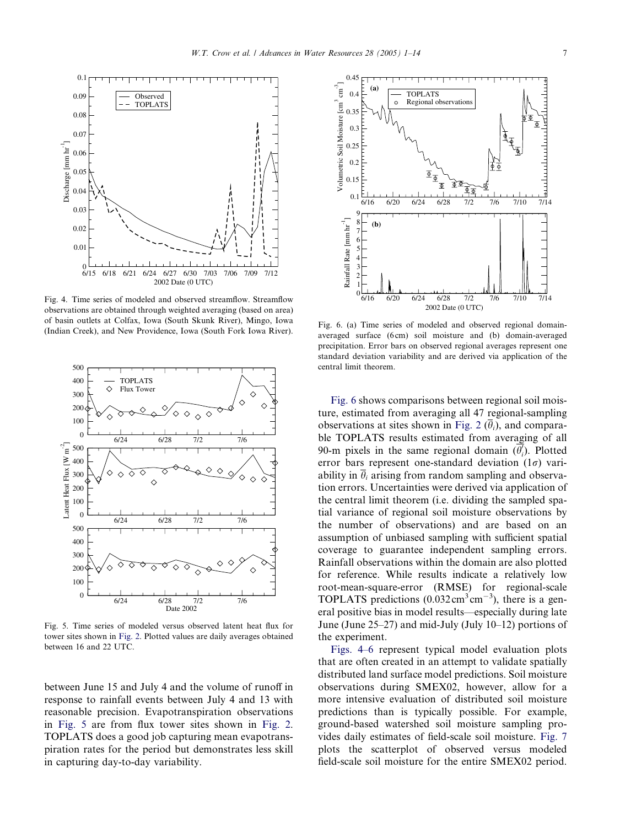<span id="page-6-0"></span>

Fig. 4. Time series of modeled and observed streamflow. Streamflow observations are obtained through weighted averaging (based on area) of basin outlets at Colfax, Iowa (South Skunk River), Mingo, Iowa (Indian Creek), and New Providence, Iowa (South Fork Iowa River).



Fig. 5. Time series of modeled versus observed latent heat flux for tower sites shown in [Fig. 2.](#page-3-0) Plotted values are daily averages obtained between 16 and 22 UTC.

between June 15 and July 4 and the volume of runoff in response to rainfall events between July 4 and 13 with reasonable precision. Evapotranspiration observations in Fig. 5 are from flux tower sites shown in [Fig. 2.](#page-3-0) TOPLATS does a good job capturing mean evapotranspiration rates for the period but demonstrates less skill in capturing day-to-day variability.



Fig. 6. (a) Time series of modeled and observed regional domainaveraged surface (6cm) soil moisture and (b) domain-averaged precipitation. Error bars on observed regional averages represent one standard deviation variability and are derived via application of the central limit theorem.

Fig. 6 shows comparisons between regional soil moisture, estimated from averaging all 47 regional-sampling observations at sites shown in [Fig. 2](#page-3-0)  $(\overline{\theta}_i)$ , and comparable TOPLATS results estimated from averaging of all 90-m pixels in the same regional domain  $(\overline{\theta_i})$ . Plotted error bars represent one-standard deviation  $(1\sigma)$  variability in  $\overline{\theta}_i$  arising from random sampling and observation errors. Uncertainties were derived via application of the central limit theorem (i.e. dividing the sampled spatial variance of regional soil moisture observations by the number of observations) and are based on an assumption of unbiased sampling with sufficient spatial coverage to guarantee independent sampling errors. Rainfall observations within the domain are also plotted for reference. While results indicate a relatively low root-mean-square-error (RMSE) for regional-scale TOPLATS predictions  $(0.032 \text{ cm}^3 \text{ cm}^{-3})$ , there is a general positive bias in model results––especially during late June (June 25–27) and mid-July (July 10–12) portions of the experiment.

Figs. 4–6 represent typical model evaluation plots that are often created in an attempt to validate spatially distributed land surface model predictions. Soil moisture observations during SMEX02, however, allow for a more intensive evaluation of distributed soil moisture predictions than is typically possible. For example, ground-based watershed soil moisture sampling provides daily estimates of field-scale soil moisture. [Fig. 7](#page-7-0) plots the scatterplot of observed versus modeled field-scale soil moisture for the entire SMEX02 period.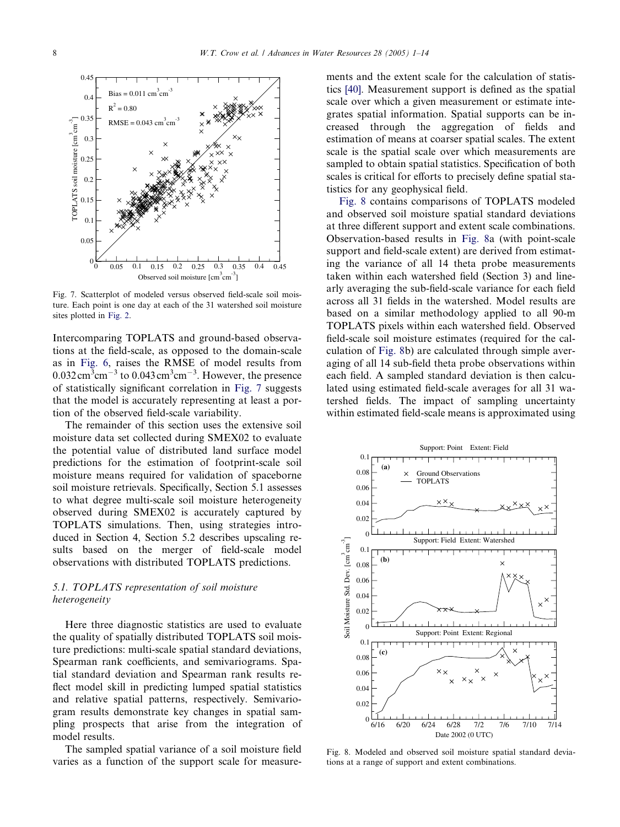<span id="page-7-0"></span>

Fig. 7. Scatterplot of modeled versus observed field-scale soil moisture. Each point is one day at each of the 31 watershed soil moisture sites plotted in [Fig. 2.](#page-3-0)

Intercomparing TOPLATS and ground-based observations at the field-scale, as opposed to the domain-scale as in [Fig. 6,](#page-6-0) raises the RMSE of model results from  $0.032 \text{ cm}^3 \text{ cm}^{-3}$  to  $0.043 \text{ cm}^3 \text{ cm}^{-3}$ . However, the presence of statistically significant correlation in Fig. 7 suggests that the model is accurately representing at least a portion of the observed field-scale variability.

The remainder of this section uses the extensive soil moisture data set collected during SMEX02 to evaluate the potential value of distributed land surface model predictions for the estimation of footprint-scale soil moisture means required for validation of spaceborne soil moisture retrievals. Specifically, Section 5.1 assesses to what degree multi-scale soil moisture heterogeneity observed during SMEX02 is accurately captured by TOPLATS simulations. Then, using strategies introduced in Section 4, Section 5.2 describes upscaling results based on the merger of field-scale model observations with distributed TOPLATS predictions.

# 5.1. TOPLATS representation of soil moisture heterogeneity

Here three diagnostic statistics are used to evaluate the quality of spatially distributed TOPLATS soil moisture predictions: multi-scale spatial standard deviations, Spearman rank coefficients, and semivariograms. Spatial standard deviation and Spearman rank results reflect model skill in predicting lumped spatial statistics and relative spatial patterns, respectively. Semivariogram results demonstrate key changes in spatial sampling prospects that arise from the integration of model results.

The sampled spatial variance of a soil moisture field varies as a function of the support scale for measurements and the extent scale for the calculation of statistics [\[40\].](#page-13-0) Measurement support is defined as the spatial scale over which a given measurement or estimate integrates spatial information. Spatial supports can be increased through the aggregation of fields and estimation of means at coarser spatial scales. The extent scale is the spatial scale over which measurements are sampled to obtain spatial statistics. Specification of both scales is critical for efforts to precisely define spatial statistics for any geophysical field.

Fig. 8 contains comparisons of TOPLATS modeled and observed soil moisture spatial standard deviations at three different support and extent scale combinations. Observation-based results in Fig. 8a (with point-scale support and field-scale extent) are derived from estimating the variance of all 14 theta probe measurements taken within each watershed field (Section 3) and linearly averaging the sub-field-scale variance for each field across all 31 fields in the watershed. Model results are based on a similar methodology applied to all 90-m TOPLATS pixels within each watershed field. Observed field-scale soil moisture estimates (required for the calculation of Fig. 8b) are calculated through simple averaging of all 14 sub-field theta probe observations within each field. A sampled standard deviation is then calculated using estimated field-scale averages for all 31 watershed fields. The impact of sampling uncertainty within estimated field-scale means is approximated using



Fig. 8. Modeled and observed soil moisture spatial standard deviations at a range of support and extent combinations.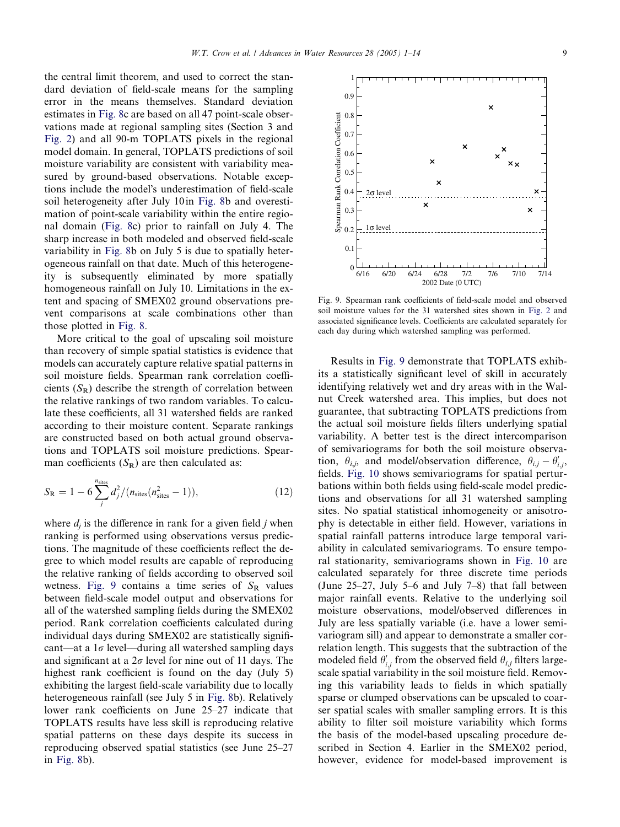the central limit theorem, and used to correct the standard deviation of field-scale means for the sampling error in the means themselves. Standard deviation estimates in [Fig. 8c](#page-7-0) are based on all 47 point-scale observations made at regional sampling sites (Section 3 and [Fig. 2\)](#page-3-0) and all 90-m TOPLATS pixels in the regional model domain. In general, TOPLATS predictions of soil moisture variability are consistent with variability measured by ground-based observations. Notable exceptions include the model's underestimation of field-scale soil heterogeneity after July 10in [Fig. 8](#page-7-0)b and overestimation of point-scale variability within the entire regional domain ([Fig. 8c](#page-7-0)) prior to rainfall on July 4. The sharp increase in both modeled and observed field-scale variability in [Fig. 8b](#page-7-0) on July 5 is due to spatially heterogeneous rainfall on that date. Much of this heterogeneity is subsequently eliminated by more spatially homogeneous rainfall on July 10. Limitations in the extent and spacing of SMEX02 ground observations prevent comparisons at scale combinations other than those plotted in [Fig. 8.](#page-7-0)

More critical to the goal of upscaling soil moisture than recovery of simple spatial statistics is evidence that models can accurately capture relative spatial patterns in soil moisture fields. Spearman rank correlation coefficients  $(S_R)$  describe the strength of correlation between the relative rankings of two random variables. To calculate these coefficients, all 31 watershed fields are ranked according to their moisture content. Separate rankings are constructed based on both actual ground observations and TOPLATS soil moisture predictions. Spearman coefficients  $(S_R)$  are then calculated as:

$$
S_{\rm R} = 1 - 6 \sum_{j}^{n_{\rm sites}} d_j^2 / (n_{\rm sites}(n_{\rm sites}^2 - 1)), \qquad (12)
$$

where  $d_i$  is the difference in rank for a given field j when ranking is performed using observations versus predictions. The magnitude of these coefficients reflect the degree to which model results are capable of reproducing the relative ranking of fields according to observed soil wetness. Fig. 9 contains a time series of  $S_R$  values between field-scale model output and observations for all of the watershed sampling fields during the SMEX02 period. Rank correlation coefficients calculated during individual days during SMEX02 are statistically significant—at a  $1\sigma$  level—during all watershed sampling days and significant at a  $2\sigma$  level for nine out of 11 days. The highest rank coefficient is found on the day (July 5) exhibiting the largest field-scale variability due to locally heterogeneous rainfall (see July 5 in [Fig. 8](#page-7-0)b). Relatively lower rank coefficients on June 25–27 indicate that TOPLATS results have less skill is reproducing relative spatial patterns on these days despite its success in reproducing observed spatial statistics (see June 25–27 in [Fig. 8](#page-7-0)b).

Fig. 9. Spearman rank coefficients of field-scale model and observed soil moisture values for the 31 watershed sites shown in [Fig. 2](#page-3-0) and associated significance levels. Coefficients are calculated separately for each day during which watershed sampling was performed.

Results in Fig. 9 demonstrate that TOPLATS exhibits a statistically significant level of skill in accurately identifying relatively wet and dry areas with in the Walnut Creek watershed area. This implies, but does not guarantee, that subtracting TOPLATS predictions from the actual soil moisture fields filters underlying spatial variability. A better test is the direct intercomparison of semivariograms for both the soil moisture observation,  $\theta_{i,j}$ , and model/observation difference,  $\theta_{i,j} - \theta'_{i,j}$ , fields. [Fig. 10](#page-9-0) shows semivariograms for spatial perturbations within both fields using field-scale model predictions and observations for all 31 watershed sampling sites. No spatial statistical inhomogeneity or anisotrophy is detectable in either field. However, variations in spatial rainfall patterns introduce large temporal variability in calculated semivariograms. To ensure temporal stationarity, semivariograms shown in [Fig. 10](#page-9-0) are calculated separately for three discrete time periods (June 25–27, July 5–6 and July 7–8) that fall between major rainfall events. Relative to the underlying soil moisture observations, model/observed differences in July are less spatially variable (i.e. have a lower semivariogram sill) and appear to demonstrate a smaller correlation length. This suggests that the subtraction of the modeled field  $\theta'_{i,j}$  from the observed field  $\theta_{i,j}$  filters largescale spatial variability in the soil moisture field. Removing this variability leads to fields in which spatially sparse or clumped observations can be upscaled to coarser spatial scales with smaller sampling errors. It is this ability to filter soil moisture variability which forms the basis of the model-based upscaling procedure described in Section 4. Earlier in the SMEX02 period, however, evidence for model-based improvement is



 $\times$ 

0.6 0.7 0.8  $0.9$ 1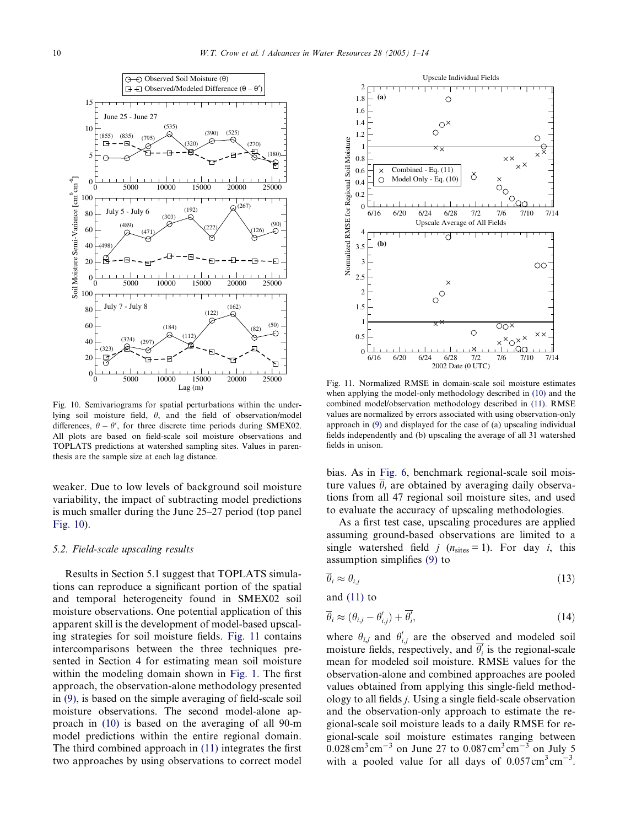<span id="page-9-0"></span>

Fig. 10. Semivariograms for spatial perturbations within the underlying soil moisture field,  $\theta$ , and the field of observation/model differences,  $\theta - \theta'$ , for three discrete time periods during SMEX02. All plots are based on field-scale soil moisture observations and TOPLATS predictions at watershed sampling sites. Values in parenthesis are the sample size at each lag distance.

weaker. Due to low levels of background soil moisture variability, the impact of subtracting model predictions is much smaller during the June 25–27 period (top panel Fig. 10).

#### 5.2. Field-scale upscaling results

Results in Section 5.1 suggest that TOPLATS simulations can reproduce a significant portion of the spatial and temporal heterogeneity found in SMEX02 soil moisture observations. One potential application of this apparent skill is the development of model-based upscaling strategies for soil moisture fields. Fig. 11 contains intercomparisons between the three techniques presented in Section 4 for estimating mean soil moisture within the modeling domain shown in [Fig. 1.](#page-2-0) The first approach, the observation-alone methodology presented in [\(9\)](#page-5-0), is based on the simple averaging of field-scale soil moisture observations. The second model-alone approach in [\(10\)](#page-5-0) is based on the averaging of all 90-m model predictions within the entire regional domain. The third combined approach in [\(11\)](#page-5-0) integrates the first two approaches by using observations to correct model



Fig. 11. Normalized RMSE in domain-scale soil moisture estimates when applying the model-only methodology described in [\(10\)](#page-5-0) and the combined model/observation methodology described in [\(11\).](#page-5-0) RMSE values are normalized by errors associated with using observation-only approach in [\(9\)](#page-5-0) and displayed for the case of (a) upscaling individual fields independently and (b) upscaling the average of all 31 watershed fields in unison.

bias. As in [Fig. 6](#page-6-0), benchmark regional-scale soil moisture values  $\overline{\theta}_i$  are obtained by averaging daily observations from all 47 regional soil moisture sites, and used to evaluate the accuracy of upscaling methodologies.

As a first test case, upscaling procedures are applied assuming ground-based observations are limited to a single watershed field *j* ( $n_{\text{sites}} = 1$ ). For day *i*, this assumption simplifies [\(9\)](#page-5-0) to

$$
\overline{\theta}_i \approx \theta_{i,j} \tag{13}
$$

and  $(11)$  to

$$
\overline{\theta}_i \approx (\theta_{i,j} - \theta'_{i,j}) + \overline{\theta'_{i}},\tag{14}
$$

where  $\theta_{i,j}$  and  $\theta'_{i,j}$  are the observed and modeled soil moisture fields, respectively, and  $\overline{\theta_i}$  is the regional-scale mean for modeled soil moisture. RMSE values for the observation-alone and combined approaches are pooled values obtained from applying this single-field methodology to all fields j. Using a single field-scale observation and the observation-only approach to estimate the regional-scale soil moisture leads to a daily RMSE for regional-scale soil moisture estimates ranging between  $0.028 \text{ cm}^3 \text{ cm}^{-3}$  on June 27 to  $0.087 \text{ cm}^3 \text{ cm}^{-3}$  on July 5 with a pooled value for all days of  $0.057 \text{ cm}^3 \text{ cm}^{-3}$ .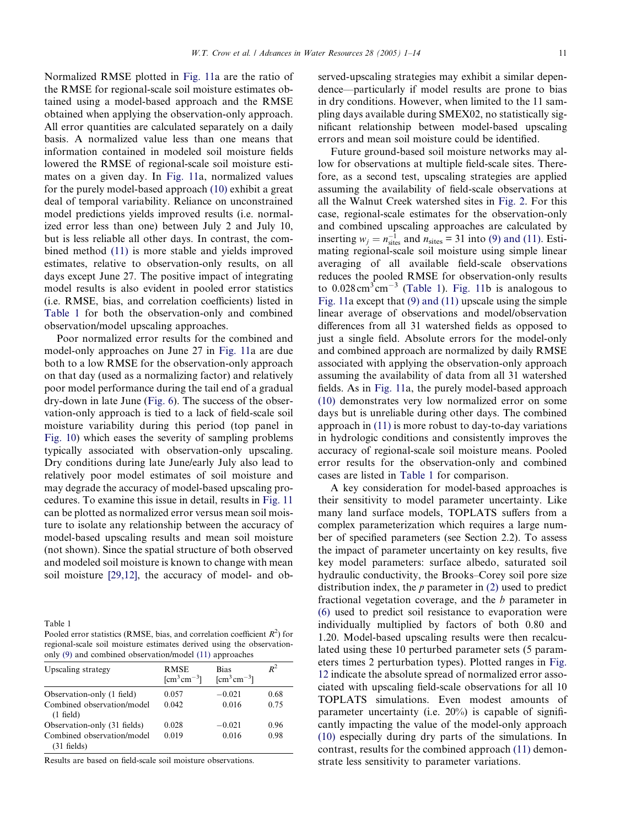<span id="page-10-0"></span>Normalized RMSE plotted in [Fig. 11](#page-9-0)a are the ratio of the RMSE for regional-scale soil moisture estimates obtained using a model-based approach and the RMSE obtained when applying the observation-only approach. All error quantities are calculated separately on a daily basis. A normalized value less than one means that information contained in modeled soil moisture fields lowered the RMSE of regional-scale soil moisture estimates on a given day. In [Fig. 11](#page-9-0)a, normalized values for the purely model-based approach [\(10\)](#page-5-0) exhibit a great deal of temporal variability. Reliance on unconstrained model predictions yields improved results (i.e. normalized error less than one) between July 2 and July 10, but is less reliable all other days. In contrast, the combined method [\(11\)](#page-5-0) is more stable and yields improved estimates, relative to observation-only results, on all days except June 27. The positive impact of integrating model results is also evident in pooled error statistics (i.e. RMSE, bias, and correlation coefficients) listed in Table 1 for both the observation-only and combined observation/model upscaling approaches.

Poor normalized error results for the combined and model-only approaches on June 27 in [Fig. 11a](#page-9-0) are due both to a low RMSE for the observation-only approach on that day (used as a normalizing factor) and relatively poor model performance during the tail end of a gradual dry-down in late June ([Fig. 6\)](#page-6-0). The success of the observation-only approach is tied to a lack of field-scale soil moisture variability during this period (top panel in [Fig. 10](#page-9-0)) which eases the severity of sampling problems typically associated with observation-only upscaling. Dry conditions during late June/early July also lead to relatively poor model estimates of soil moisture and may degrade the accuracy of model-based upscaling procedures. To examine this issue in detail, results in [Fig. 11](#page-9-0) can be plotted as normalized error versus mean soil moisture to isolate any relationship between the accuracy of model-based upscaling results and mean soil moisture (not shown). Since the spatial structure of both observed and modeled soil moisture is known to change with mean soil moisture [\[29,12\],](#page-13-0) the accuracy of model- and ob-

Table 1

Pooled error statistics (RMSE, bias, and correlation coefficient  $R^2$ ) for regional-scale soil moisture estimates derived using the observationonly [\(9\)](#page-5-0) and combined observation/model [\(11\)](#page-5-0) approaches

| Upscaling strategy                          | <b>RMSE</b><br>$\mathrm{[cm^3 cm^{-3}]}$ | <b>Bias</b><br>$\mathrm{[cm^3\,cm^{-3}]}$ | $R^2$ |
|---------------------------------------------|------------------------------------------|-------------------------------------------|-------|
| Observation-only (1 field)                  | 0.057                                    | $-0.021$                                  | 0.68  |
| Combined observation/model<br>$(1$ field)   | 0.042                                    | 0.016                                     | 0.75  |
| Observation-only (31 fields)                | 0.028                                    | $-0.021$                                  | 0.96  |
| Combined observation/model<br>$(31$ fields) | 0.019                                    | 0.016                                     | 0.98  |

Results are based on field-scale soil moisture observations.

served-upscaling strategies may exhibit a similar dependence––particularly if model results are prone to bias in dry conditions. However, when limited to the 11 sampling days available during SMEX02, no statistically significant relationship between model-based upscaling errors and mean soil moisture could be identified.

Future ground-based soil moisture networks may allow for observations at multiple field-scale sites. Therefore, as a second test, upscaling strategies are applied assuming the availability of field-scale observations at all the Walnut Creek watershed sites in [Fig. 2.](#page-3-0) For this case, regional-scale estimates for the observation-only and combined upscaling approaches are calculated by inserting  $w_j = n_{\text{sites}}^{-1}$  and  $n_{\text{sites}} = 31$  into [\(9\) and \(11\)](#page-5-0). Estimating regional-scale soil moisture using simple linear averaging of all available field-scale observations reduces the pooled RMSE for observation-only results to  $0.028 \text{ cm}^3 \text{ cm}^{-3}$  (Table 1). [Fig. 11](#page-9-0)b is analogous to [Fig. 11a](#page-9-0) except that [\(9\) and \(11\)](#page-5-0) upscale using the simple linear average of observations and model/observation differences from all 31 watershed fields as opposed to just a single field. Absolute errors for the model-only and combined approach are normalized by daily RMSE associated with applying the observation-only approach assuming the availability of data from all 31 watershed fields. As in [Fig. 11a](#page-9-0), the purely model-based approach [\(10\)](#page-5-0) demonstrates very low normalized error on some days but is unreliable during other days. The combined approach in [\(11\)](#page-5-0) is more robust to day-to-day variations in hydrologic conditions and consistently improves the accuracy of regional-scale soil moisture means. Pooled error results for the observation-only and combined cases are listed in Table 1 for comparison.

A key consideration for model-based approaches is their sensitivity to model parameter uncertainty. Like many land surface models, TOPLATS suffers from a complex parameterization which requires a large number of specified parameters (see Section 2.2). To assess the impact of parameter uncertainty on key results, five key model parameters: surface albedo, saturated soil hydraulic conductivity, the Brooks–Corey soil pore size distribution index, the  $p$  parameter in  $(2)$  used to predict fractional vegetation coverage, and the b parameter in [\(6\)](#page-2-0) used to predict soil resistance to evaporation were individually multiplied by factors of both 0.80 and 1.20. Model-based upscaling results were then recalculated using these 10 perturbed parameter sets (5 parameters times 2 perturbation types). Plotted ranges in [Fig.](#page-11-0) [12](#page-11-0) indicate the absolute spread of normalized error associated with upscaling field-scale observations for all 10 TOPLATS simulations. Even modest amounts of parameter uncertainty (i.e. 20%) is capable of significantly impacting the value of the model-only approach [\(10\)](#page-5-0) especially during dry parts of the simulations. In contrast, results for the combined approach [\(11\)](#page-5-0) demonstrate less sensitivity to parameter variations.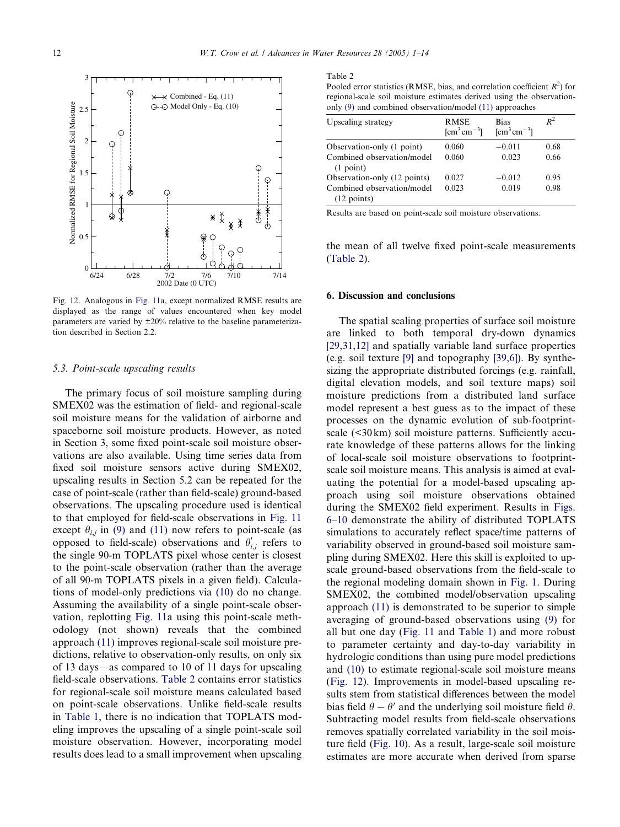<span id="page-11-0"></span>

Fig. 12. Analogous in [Fig. 11](#page-9-0)a, except normalized RMSE results are displayed as the range of values encountered when key model parameters are varied by ±20% relative to the baseline parameterization described in Section 2.2.

#### 5.3. Point-scale upscaling results

The primary focus of soil moisture sampling during SMEX02 was the estimation of field- and regional-scale soil moisture means for the validation of airborne and spaceborne soil moisture products. However, as noted in Section 3, some fixed point-scale soil moisture observations are also available. Using time series data from fixed soil moisture sensors active during SMEX02, upscaling results in Section 5.2 can be repeated for the case of point-scale (rather than field-scale) ground-based observations. The upscaling procedure used is identical to that employed for field-scale observations in [Fig. 11](#page-9-0) except  $\theta_{i,j}$  in [\(9\)](#page-5-0) and [\(11\)](#page-5-0) now refers to point-scale (as opposed to field-scale) observations and  $\theta'_{i,j}$  refers to the single 90-m TOPLATS pixel whose center is closest to the point-scale observation (rather than the average of all 90-m TOPLATS pixels in a given field). Calculations of model-only predictions via [\(10\)](#page-5-0) do no change. Assuming the availability of a single point-scale observation, replotting [Fig. 11a](#page-9-0) using this point-scale methodology (not shown) reveals that the combined approach [\(11\)](#page-5-0) improves regional-scale soil moisture predictions, relative to observation-only results, on only six of 13 days––as compared to 10 of 11 days for upscaling field-scale observations. Table 2 contains error statistics for regional-scale soil moisture means calculated based on point-scale observations. Unlike field-scale results in [Table 1,](#page-10-0) there is no indication that TOPLATS modeling improves the upscaling of a single point-scale soil moisture observation. However, incorporating model results does lead to a small improvement when upscaling

#### Table 2

Pooled error statistics (RMSE, bias, and correlation coefficient  $R^2$ ) for regional-scale soil moisture estimates derived using the observationonly [\(9\)](#page-5-0) and combined observation/model [\(11\)](#page-5-0) approaches

| Upscaling strategy                                  | <b>RMSE</b><br>$\mathrm{[cm^3\,cm^{-3}]}$ | <b>Bias</b><br>$\mathrm{[cm^3\,cm^{-3}]}$ | $R^2$ |
|-----------------------------------------------------|-------------------------------------------|-------------------------------------------|-------|
| Observation-only (1 point)                          | 0.060                                     | $-0.011$                                  | 0.68  |
| Combined observation/model<br>$(1$ point)           | 0.060                                     | 0.023                                     | 0.66  |
| Observation-only (12 points)                        | 0.027                                     | $-0.012$                                  | 0.95  |
| Combined observation/model<br>$(12 \text{ points})$ | 0.023                                     | 0.019                                     | 0.98  |

Results are based on point-scale soil moisture observations.

the mean of all twelve fixed point-scale measurements (Table 2).

#### 6. Discussion and conclusions

The spatial scaling properties of surface soil moisture are linked to both temporal dry-down dynamics [\[29,31,12\]](#page-13-0) and spatially variable land surface properties (e.g. soil texture [\[9\]](#page-13-0) and topography [\[39,6\]](#page-13-0)). By synthesizing the appropriate distributed forcings (e.g. rainfall, digital elevation models, and soil texture maps) soil moisture predictions from a distributed land surface model represent a best guess as to the impact of these processes on the dynamic evolution of sub-footprintscale (<30 km) soil moisture patterns. Sufficiently accurate knowledge of these patterns allows for the linking of local-scale soil moisture observations to footprintscale soil moisture means. This analysis is aimed at evaluating the potential for a model-based upscaling approach using soil moisture observations obtained during the SMEX02 field experiment. Results in [Figs.](#page-6-0) [6–10](#page-6-0) demonstrate the ability of distributed TOPLATS simulations to accurately reflect space/time patterns of variability observed in ground-based soil moisture sampling during SMEX02. Here this skill is exploited to upscale ground-based observations from the field-scale to the regional modeling domain shown in [Fig. 1.](#page-2-0) During SMEX02, the combined model/observation upscaling approach [\(11\)](#page-5-0) is demonstrated to be superior to simple averaging of ground-based observations using [\(9\)](#page-5-0) for all but one day ([Fig. 11](#page-9-0) and [Table 1](#page-10-0)) and more robust to parameter certainty and day-to-day variability in hydrologic conditions than using pure model predictions and [\(10\)](#page-5-0) to estimate regional-scale soil moisture means (Fig. 12). Improvements in model-based upscaling results stem from statistical differences between the model bias field  $\theta - \theta'$  and the underlying soil moisture field  $\theta$ . Subtracting model results from field-scale observations removes spatially correlated variability in the soil moisture field [\(Fig. 10\)](#page-9-0). As a result, large-scale soil moisture estimates are more accurate when derived from sparse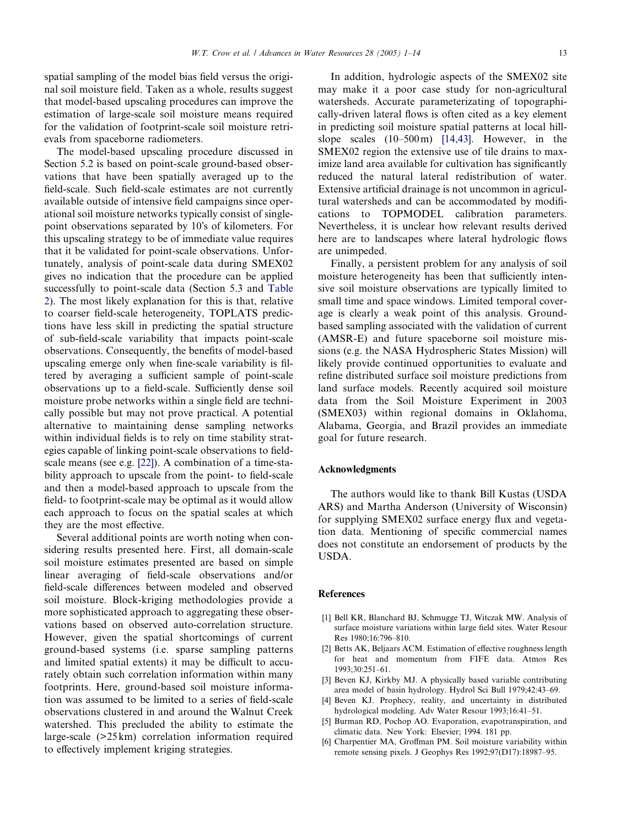<span id="page-12-0"></span>spatial sampling of the model bias field versus the original soil moisture field. Taken as a whole, results suggest that model-based upscaling procedures can improve the estimation of large-scale soil moisture means required for the validation of footprint-scale soil moisture retrievals from spaceborne radiometers.

The model-based upscaling procedure discussed in Section 5.2 is based on point-scale ground-based observations that have been spatially averaged up to the field-scale. Such field-scale estimates are not currently available outside of intensive field campaigns since operational soil moisture networks typically consist of singlepoint observations separated by 10's of kilometers. For this upscaling strategy to be of immediate value requires that it be validated for point-scale observations. Unfortunately, analysis of point-scale data during SMEX02 gives no indication that the procedure can be applied successfully to point-scale data (Section 5.3 and [Table](#page-11-0) [2\)](#page-11-0). The most likely explanation for this is that, relative to coarser field-scale heterogeneity, TOPLATS predictions have less skill in predicting the spatial structure of sub-field-scale variability that impacts point-scale observations. Consequently, the benefits of model-based upscaling emerge only when fine-scale variability is filtered by averaging a sufficient sample of point-scale observations up to a field-scale. Sufficiently dense soil moisture probe networks within a single field are technically possible but may not prove practical. A potential alternative to maintaining dense sampling networks within individual fields is to rely on time stability strategies capable of linking point-scale observations to fieldscale means (see e.g. [\[22\]\)](#page-13-0). A combination of a time-stability approach to upscale from the point- to field-scale and then a model-based approach to upscale from the field- to footprint-scale may be optimal as it would allow each approach to focus on the spatial scales at which they are the most effective.

Several additional points are worth noting when considering results presented here. First, all domain-scale soil moisture estimates presented are based on simple linear averaging of field-scale observations and/or field-scale differences between modeled and observed soil moisture. Block-kriging methodologies provide a more sophisticated approach to aggregating these observations based on observed auto-correlation structure. However, given the spatial shortcomings of current ground-based systems (i.e. sparse sampling patterns and limited spatial extents) it may be difficult to accurately obtain such correlation information within many footprints. Here, ground-based soil moisture information was assumed to be limited to a series of field-scale observations clustered in and around the Walnut Creek watershed. This precluded the ability to estimate the large-scale (>25 km) correlation information required to effectively implement kriging strategies.

In addition, hydrologic aspects of the SMEX02 site may make it a poor case study for non-agricultural watersheds. Accurate parameterizating of topographically-driven lateral flows is often cited as a key element in predicting soil moisture spatial patterns at local hillslope scales (10–500m) [\[14,43\].](#page-13-0) However, in the SMEX02 region the extensive use of tile drains to maximize land area available for cultivation has significantly reduced the natural lateral redistribution of water. Extensive artificial drainage is not uncommon in agricultural watersheds and can be accommodated by modifications to TOPMODEL calibration parameters. Nevertheless, it is unclear how relevant results derived here are to landscapes where lateral hydrologic flows are unimpeded.

Finally, a persistent problem for any analysis of soil moisture heterogeneity has been that sufficiently intensive soil moisture observations are typically limited to small time and space windows. Limited temporal coverage is clearly a weak point of this analysis. Groundbased sampling associated with the validation of current (AMSR-E) and future spaceborne soil moisture missions (e.g. the NASA Hydrospheric States Mission) will likely provide continued opportunities to evaluate and refine distributed surface soil moisture predictions from land surface models. Recently acquired soil moisture data from the Soil Moisture Experiment in 2003 (SMEX03) within regional domains in Oklahoma, Alabama, Georgia, and Brazil provides an immediate goal for future research.

#### Acknowledgments

The authors would like to thank Bill Kustas (USDA ARS) and Martha Anderson (University of Wisconsin) for supplying SMEX02 surface energy flux and vegetation data. Mentioning of specific commercial names does not constitute an endorsement of products by the USDA.

#### References

- [1] Bell KR, Blanchard BJ, Schmugge TJ, Witczak MW. Analysis of surface moisture variations within large field sites. Water Resour Res 1980;16:796–810.
- [2] Betts AK, Beljaars ACM. Estimation of effective roughness length for heat and momentum from FIFE data. Atmos Res 1993;30:251–61.
- [3] Beven KJ, Kirkby MJ. A physically based variable contributing area model of basin hydrology. Hydrol Sci Bull 1979;42:43–69.
- [4] Beven KJ. Prophecy, reality, and uncertainty in distributed hydrological modeling. Adv Water Resour 1993;16:41–51.
- [5] Burman RD, Pochop AO. Evaporation, evapotranspiration, and climatic data. New York: Elsevier; 1994. 181 pp.
- [6] Charpentier MA, Groffman PM. Soil moisture variability within remote sensing pixels. J Geophys Res 1992;97(D17):18987–95.